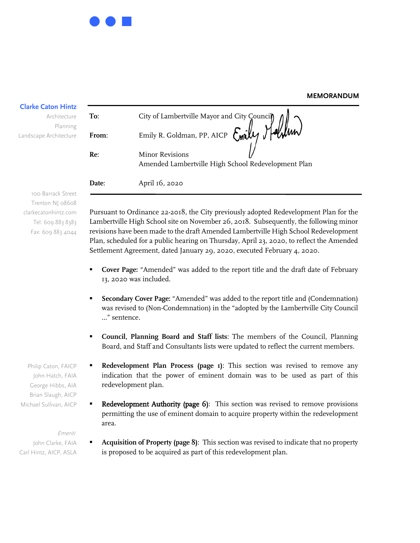## **MEMORANDUM**

| <b>Clarke Caton Hintz</b>              |       |                                                                               |
|----------------------------------------|-------|-------------------------------------------------------------------------------|
| Architecture                           | To:   | City of Lambertville Mayor and City Council                                   |
| Planning<br>Landscape Architecture     | From: | Emily R. Goldman, PP, AICP Emily Malmun                                       |
|                                        | Re:   | <b>Minor Revisions</b><br>Amended Lambertville High School Redevelopment Plan |
|                                        | Date: | April 16, 2020                                                                |
| 100 Barrack Street<br>Trenton NJ 08608 |       |                                                                               |

Trenton NJ 08608 clarkecatonhintz.com Tel: 609 883 8383 Fax: 609 883 4044

Pursuant to Ordinance 22-2018, the City previously adopted Redevelopment Plan for the Lambertville High School site on November 26, 2018. Subsequently, the following minor revisions have been made to the draft Amended Lambertville High School Redevelopment Plan, scheduled for a public hearing on Thursday, April 23, 2020, to reflect the Amended Settlement Agreement, dated January 29, 2020, executed February 4, 2020.

- **Cover Page:** "Amended" was added to the report title and the draft date of February 13, 2020 was included.
- **Secondary Cover Page:** "Amended" was added to the report title and (Condemnation) was revised to (Non-Condemnation) in the "adopted by the Lambertville City Council …" sentence.
- **Council, Planning Board and Staff lists**: The members of the Council, Planning Board, and Staff and Consultants lists were updated to reflect the current members.
- **Redevelopment Plan Process (page 1)**: This section was revised to remove any indication that the power of eminent domain was to be used as part of this redevelopment plan.
- Redevelopment Authority (page 6): This section was revised to remove provisions permitting the use of eminent domain to acquire property within the redevelopment area.

## Emeriti.

John Clarke, FAIA Carl Hintz, AICP, ASLA  **Acquisition of Property (page 8)**: This section was revised to indicate that no property is proposed to be acquired as part of this redevelopment plan.

John Hatch, FAIA George Hibbs, AIA Brian Slaugh, AICP Michael Sullivan, AICP

Philip Caton, FAICP